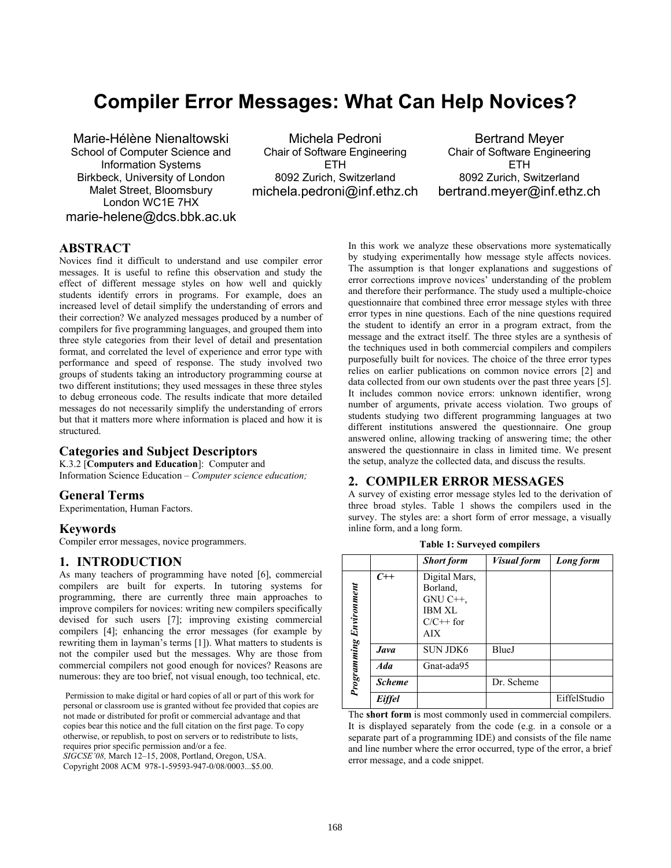# **Compiler Error Messages: What Can Help Novices?**

Marie-Hélène Nienaltowski School of Computer Science and Information Systems Birkbeck, University of London Malet Street, Bloomsbury London WC1E 7HX marie-helene@dcs.bbk.ac.uk

Michela Pedroni Chair of Software Engineering **ETH** 8092 Zurich, Switzerland michela.pedroni@inf.ethz.ch

Bertrand Meyer Chair of Software Engineering **ETH** 8092 Zurich, Switzerland bertrand.meyer@inf.ethz.ch

# **ABSTRACT**

Novices find it difficult to understand and use compiler error messages. It is useful to refine this observation and study the effect of different message styles on how well and quickly students identify errors in programs. For example, does an increased level of detail simplify the understanding of errors and their correction? We analyzed messages produced by a number of compilers for five programming languages, and grouped them into three style categories from their level of detail and presentation format, and correlated the level of experience and error type with performance and speed of response. The study involved two groups of students taking an introductory programming course at two different institutions; they used messages in these three styles to debug erroneous code. The results indicate that more detailed messages do not necessarily simplify the understanding of errors but that it matters more where information is placed and how it is structured.

# **Categories and Subject Descriptors**

K.3.2 [**Computers and Education**]: Computer and Information Science Education – *Computer science education;*

### **General Terms**

Experimentation, Human Factors.

#### **Keywords**

Compiler error messages, novice programmers.

# **1. INTRODUCTION**

As many teachers of programming have noted [6], commercial compilers are built for experts. In tutoring systems for programming, there are currently three main approaches to improve compilers for novices: writing new compilers specifically devised for such users [7]; improving existing commercial compilers [4]; enhancing the error messages (for example by rewriting them in layman's terms [1]). What matters to students is not the compiler used but the messages. Why are those from commercial compilers not good enough for novices? Reasons are numerous: they are too brief, not visual enough, too technical, etc.

 Permission to make digital or hard copies of all or part of this work for personal or classroom use is granted without fee provided that copies are not made or distributed for profit or commercial advantage and that copies bear this notice and the full citation on the first page. To copy otherwise, or republish, to post on servers or to redistribute to lists, requires prior specific permission and/or a fee.

*SIGCSE'08,* March 12–15, 2008, Portland, Oregon, USA.

Copyright 2008 ACM 978-1-59593-947-0/08/0003...\$5.00.

In this work we analyze these observations more systematically by studying experimentally how message style affects novices. The assumption is that longer explanations and suggestions of error corrections improve novices' understanding of the problem and therefore their performance. The study used a multiple-choice questionnaire that combined three error message styles with three error types in nine questions. Each of the nine questions required the student to identify an error in a program extract, from the message and the extract itself. The three styles are a synthesis of the techniques used in both commercial compilers and compilers purposefully built for novices. The choice of the three error types relies on earlier publications on common novice errors [2] and data collected from our own students over the past three years [5]. It includes common novice errors: unknown identifier, wrong number of arguments, private access violation. Two groups of students studying two different programming languages at two different institutions answered the questionnaire. One group answered online, allowing tracking of answering time; the other answered the questionnaire in class in limited time. We present the setup, analyze the collected data, and discuss the results.

# **2. COMPILER ERROR MESSAGES**

A survey of existing error message styles led to the derivation of three broad styles. Table 1 shows the compilers used in the survey. The styles are: a short form of error message, a visually inline form, and a long form.

|                         |               | <b>Short form</b>                                                                    | <i><b>Visual form</b></i> | Long form    |
|-------------------------|---------------|--------------------------------------------------------------------------------------|---------------------------|--------------|
| Programming Environment | $C++$         | Digital Mars,<br>Borland,<br>$GNU C++$<br><b>IBM XL</b><br>$C/C++$ for<br><b>AIX</b> |                           |              |
|                         | Java          | <b>SUN JDK6</b>                                                                      | BlueJ                     |              |
|                         | <b>Ada</b>    | Gnat-ada95                                                                           |                           |              |
|                         | <b>Scheme</b> |                                                                                      | Dr. Scheme                |              |
|                         | Eiffel        |                                                                                      |                           | EiffelStudio |

**Table 1: Surveyed compilers** 

The **short form** is most commonly used in commercial compilers. It is displayed separately from the code (e.g. in a console or a separate part of a programming IDE) and consists of the file name and line number where the error occurred, type of the error, a brief error message, and a code snippet.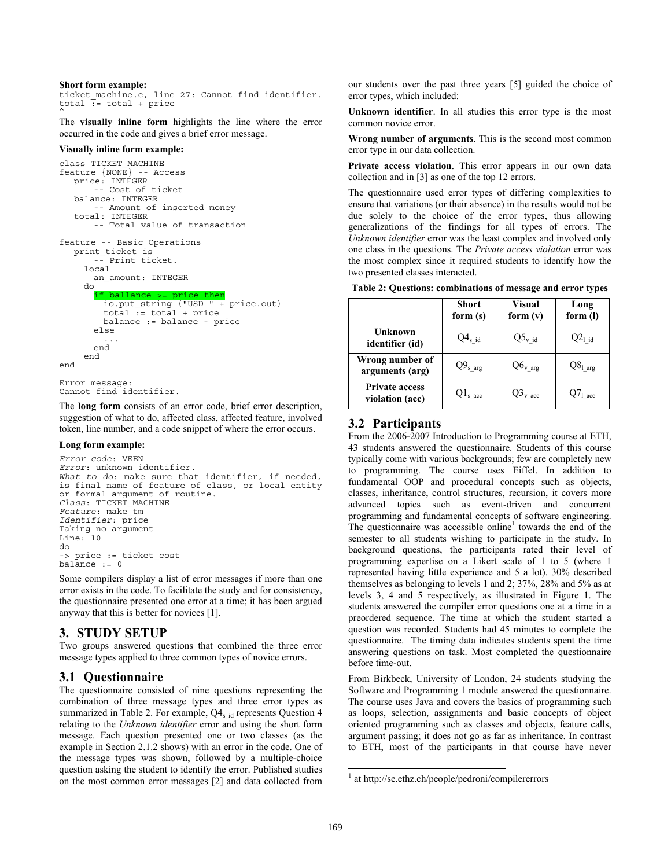#### **Short form example:**

ticket\_machine.e, line 27: Cannot find identifier. total  $\overline{P}$  = total + price  $\hat{\mathcal{L}}$ 

The **visually inline form** highlights the line where the error occurred in the code and gives a brief error message.

#### **Visually inline form example:**

```
class TICKET_MACHINE 
feature {NONE} -- Access 
 price: INTEGER 
 -- Cost of ticket 
   balance: INTEGER 
         -- Amount of inserted money 
    total: INTEGER 
        -- Total value of transaction 
feature -- Basic Operations 
   print_ticket is 
          Print ticket.
      local 
       an amount: INTEGER
      do 
                     >= price then
         io.put string ("USD " + price.out)
         total := total + price balance := balance - price 
        else 
 ... 
        end 
      end 
end
```

```
Error message: 
Cannot find identifier.
```
The **long form** consists of an error code, brief error description, suggestion of what to do, affected class, affected feature, involved token, line number, and a code snippet of where the error occurs.

#### **Long form example:**

```
Error code: VEEN 
Error: unknown identifier. 
What to do: make sure that identifier, if needed, 
is final name of feature of class, or local entity 
or formal argument of routine. 
Class: TICKET_MACHINE 
Feature: make_tm 
Identifier: price 
Taking no argument 
Line: 10 
do 
-> price := ticket cost
balance := 0
```
Some compilers display a list of error messages if more than one error exists in the code. To facilitate the study and for consistency, the questionnaire presented one error at a time; it has been argued anyway that this is better for novices [1].

### **3. STUDY SETUP**

Two groups answered questions that combined the three error message types applied to three common types of novice errors.

### **3.1 Questionnaire**

The questionnaire consisted of nine questions representing the combination of three message types and three error types as summarized in Table 2. For example,  $Q4<sub>sid</sub>$  represents Question 4 relating to the *Unknown identifier* error and using the short form message. Each question presented one or two classes (as the example in Section 2.1.2 shows) with an error in the code. One of the message types was shown, followed by a multiple-choice question asking the student to identify the error. Published studies on the most common error messages [2] and data collected from

our students over the past three years [5] guided the choice of error types, which included:

**Unknown identifier**. In all studies this error type is the most common novice error.

**Wrong number of arguments**. This is the second most common error type in our data collection.

**Private access violation**. This error appears in our own data collection and in [3] as one of the top 12 errors.

The questionnaire used error types of differing complexities to ensure that variations (or their absence) in the results would not be due solely to the choice of the error types, thus allowing generalizations of the findings for all types of errors. The *Unknown identifier* error was the least complex and involved only one class in the questions. The *Private access violation* error was the most complex since it required students to identify how the two presented classes interacted.

| Table 2: Questions: combinations of message and error types |                                        |  |
|-------------------------------------------------------------|----------------------------------------|--|
|                                                             | المستحدث والمستحدث والمستحدث والمستحدث |  |

|                                          | <b>Short</b><br>form $(s)$ | Visual<br>form $(v)$  | Long<br>form (I)               |
|------------------------------------------|----------------------------|-----------------------|--------------------------------|
| Unknown<br>identifier (id)               | $Q4_{s}$ id                | $Q5_{v}$ id           | $Q2_{1id}$                     |
| Wrong number of<br>arguments (arg)       | $Q9_{s_{\text{arg}}}$      | $Q6_{v_{\text{arg}}}$ | $Q8_{1_{\text{arg}}}$          |
| <b>Private access</b><br>violation (acc) | $Q1_{s_acc}$               | $Q3_{v \text{ acc}}$  | $\mathcal{V}/_{1 \text{ acc}}$ |

# **3.2 Participants**

From the 2006-2007 Introduction to Programming course at ETH, 43 students answered the questionnaire. Students of this course typically come with various backgrounds; few are completely new to programming. The course uses Eiffel. In addition to fundamental OOP and procedural concepts such as objects, classes, inheritance, control structures, recursion, it covers more advanced topics such as event-driven and concurrent programming and fundamental concepts of software engineering. The questionnaire was accessible online<sup>1</sup> towards the end of the semester to all students wishing to participate in the study. In background questions, the participants rated their level of programming expertise on a Likert scale of 1 to 5 (where 1 represented having little experience and 5 a lot). 30% described themselves as belonging to levels 1 and 2; 37%, 28% and 5% as at levels 3, 4 and 5 respectively, as illustrated in Figure 1. The students answered the compiler error questions one at a time in a preordered sequence. The time at which the student started a question was recorded. Students had 45 minutes to complete the questionnaire. The timing data indicates students spent the time answering questions on task. Most completed the questionnaire before time-out.

From Birkbeck, University of London, 24 students studying the Software and Programming 1 module answered the questionnaire. The course uses Java and covers the basics of programming such as loops, selection, assignments and basic concepts of object oriented programming such as classes and objects, feature calls, argument passing; it does not go as far as inheritance. In contrast to ETH, most of the participants in that course have never

 1 at http://se.ethz.ch/people/pedroni/compilererrors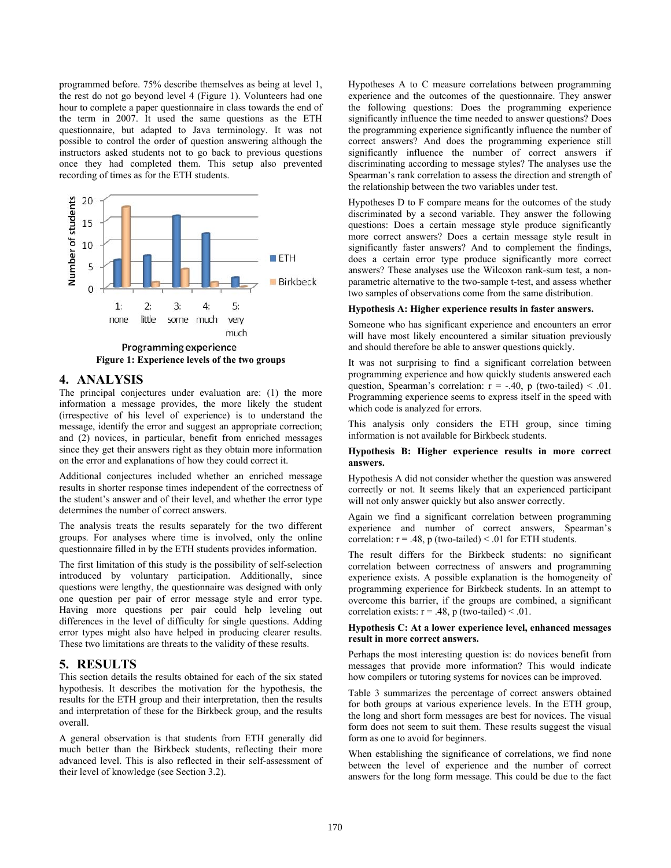programmed before. 75% describe themselves as being at level 1, the rest do not go beyond level 4 (Figure 1). Volunteers had one hour to complete a paper questionnaire in class towards the end of the term in 2007. It used the same questions as the ETH questionnaire, but adapted to Java terminology. It was not possible to control the order of question answering although the instructors asked students not to go back to previous questions once they had completed them. This setup also prevented recording of times as for the ETH students.



**Figure 1: Experience levels of the two groups**

# **4. ANALYSIS**

The principal conjectures under evaluation are: (1) the more information a message provides, the more likely the student (irrespective of his level of experience) is to understand the message, identify the error and suggest an appropriate correction; and (2) novices, in particular, benefit from enriched messages since they get their answers right as they obtain more information on the error and explanations of how they could correct it.

Additional conjectures included whether an enriched message results in shorter response times independent of the correctness of the student's answer and of their level, and whether the error type determines the number of correct answers.

The analysis treats the results separately for the two different groups. For analyses where time is involved, only the online questionnaire filled in by the ETH students provides information.

The first limitation of this study is the possibility of self-selection introduced by voluntary participation. Additionally, since questions were lengthy, the questionnaire was designed with only one question per pair of error message style and error type. Having more questions per pair could help leveling out differences in the level of difficulty for single questions. Adding error types might also have helped in producing clearer results. These two limitations are threats to the validity of these results.

# **5. RESULTS**

This section details the results obtained for each of the six stated hypothesis. It describes the motivation for the hypothesis, the results for the ETH group and their interpretation, then the results and interpretation of these for the Birkbeck group, and the results overall.

A general observation is that students from ETH generally did much better than the Birkbeck students, reflecting their more advanced level. This is also reflected in their self-assessment of their level of knowledge (see Section 3.2).

Hypotheses A to C measure correlations between programming experience and the outcomes of the questionnaire. They answer the following questions: Does the programming experience significantly influence the time needed to answer questions? Does the programming experience significantly influence the number of correct answers? And does the programming experience still significantly influence the number of correct answers if discriminating according to message styles? The analyses use the Spearman's rank correlation to assess the direction and strength of the relationship between the two variables under test.

Hypotheses D to F compare means for the outcomes of the study discriminated by a second variable. They answer the following questions: Does a certain message style produce significantly more correct answers? Does a certain message style result in significantly faster answers? And to complement the findings, does a certain error type produce significantly more correct answers? These analyses use the Wilcoxon rank-sum test, a nonparametric alternative to the two-sample t-test, and assess whether two samples of observations come from the same distribution.

### **Hypothesis A: Higher experience results in faster answers.**

Someone who has significant experience and encounters an error will have most likely encountered a similar situation previously and should therefore be able to answer questions quickly.

It was not surprising to find a significant correlation between programming experience and how quickly students answered each question, Spearman's correlation:  $\mathbf{r} = -40$ , p (two-tailed) < .01. Programming experience seems to express itself in the speed with which code is analyzed for errors.

This analysis only considers the ETH group, since timing information is not available for Birkbeck students.

#### **Hypothesis B: Higher experience results in more correct answers.**

Hypothesis A did not consider whether the question was answered correctly or not. It seems likely that an experienced participant will not only answer quickly but also answer correctly.

Again we find a significant correlation between programming experience and number of correct answers, Spearman's correlation:  $r = .48$ , p (two-tailed) < .01 for ETH students.

The result differs for the Birkbeck students: no significant correlation between correctness of answers and programming experience exists. A possible explanation is the homogeneity of programming experience for Birkbeck students. In an attempt to overcome this barrier, if the groups are combined, a significant correlation exists:  $r = .48$ , p (two-tailed) < .01.

#### **Hypothesis C: At a lower experience level, enhanced messages result in more correct answers.**

Perhaps the most interesting question is: do novices benefit from messages that provide more information? This would indicate how compilers or tutoring systems for novices can be improved.

Table 3 summarizes the percentage of correct answers obtained for both groups at various experience levels. In the ETH group, the long and short form messages are best for novices. The visual form does not seem to suit them. These results suggest the visual form as one to avoid for beginners.

When establishing the significance of correlations, we find none between the level of experience and the number of correct answers for the long form message. This could be due to the fact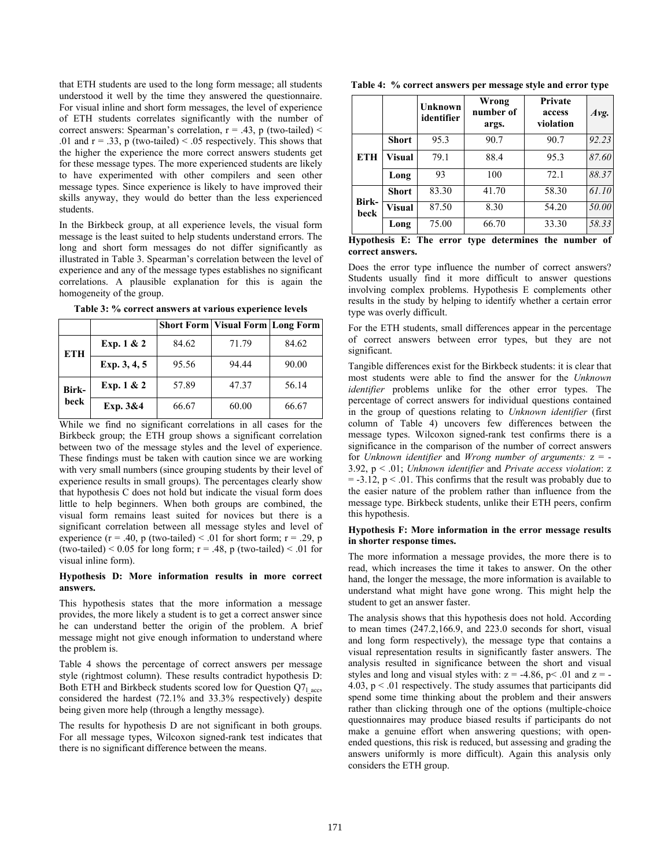that ETH students are used to the long form message; all students understood it well by the time they answered the questionnaire. For visual inline and short form messages, the level of experience of ETH students correlates significantly with the number of correct answers: Spearman's correlation,  $r = .43$ , p (two-tailed) < .01 and  $r = .33$ , p (two-tailed)  $\leq .05$  respectively. This shows that the higher the experience the more correct answers students get for these message types. The more experienced students are likely to have experimented with other compilers and seen other message types. Since experience is likely to have improved their skills anyway, they would do better than the less experienced students.

In the Birkbeck group, at all experience levels, the visual form message is the least suited to help students understand errors. The long and short form messages do not differ significantly as illustrated in Table 3. Spearman's correlation between the level of experience and any of the message types establishes no significant correlations. A plausible explanation for this is again the homogeneity of the group.

**Table 3: % correct answers at various experience levels** 

|               |              |       | <b>Short Form Visual Form Long Form</b> |       |
|---------------|--------------|-------|-----------------------------------------|-------|
| <b>ETH</b>    | Exp. $1 & 2$ | 84.62 | 71.79                                   | 84.62 |
|               | Exp. 3, 4, 5 | 95.56 | 94.44                                   | 90.00 |
| Birk-<br>beck | Exp. $1 < 2$ | 57.89 | 47.37                                   | 56.14 |
|               | Exp. 3&4     | 66.67 | 60.00                                   | 66.67 |

While we find no significant correlations in all cases for the Birkbeck group; the ETH group shows a significant correlation between two of the message styles and the level of experience. These findings must be taken with caution since we are working with very small numbers (since grouping students by their level of experience results in small groups). The percentages clearly show that hypothesis C does not hold but indicate the visual form does little to help beginners. When both groups are combined, the visual form remains least suited for novices but there is a significant correlation between all message styles and level of experience ( $r = .40$ ,  $p$  (two-tailed) < .01 for short form;  $r = .29$ ,  $p$ (two-tailed) <  $0.05$  for long form; r = .48, p (two-tailed) < .01 for visual inline form).

#### **Hypothesis D: More information results in more correct answers.**

This hypothesis states that the more information a message provides, the more likely a student is to get a correct answer since he can understand better the origin of the problem. A brief message might not give enough information to understand where the problem is.

Table 4 shows the percentage of correct answers per message style (rightmost column). These results contradict hypothesis D: Both ETH and Birkbeck students scored low for Question  $Q7<sub>l</sub>$  acc, considered the hardest (72.1% and 33.3% respectively) despite being given more help (through a lengthy message).

The results for hypothesis D are not significant in both groups. For all message types, Wilcoxon signed-rank test indicates that there is no significant difference between the means.

| Table 4: % correct answers per message style and error type |  |  |  |  |  |
|-------------------------------------------------------------|--|--|--|--|--|
|                                                             |  |  |  |  |  |

|               |               | Unknown<br>identifier | Wrong<br>number of<br>args. | <b>Private</b><br>access<br>violation | Avg.  |
|---------------|---------------|-----------------------|-----------------------------|---------------------------------------|-------|
|               | <b>Short</b>  | 95.3                  | 90.7                        | 90.7                                  | 92.23 |
| <b>ETH</b>    | <b>Visual</b> | 79.1                  | 88.4                        | 95.3                                  | 87.60 |
|               | Long          | 93                    | 100                         | 72.1                                  | 88.37 |
|               | <b>Short</b>  | 83.30                 | 41.70                       | 58.30                                 | 61.10 |
| Birk-<br>beck | Visual        | 87.50                 | 8.30                        | 54.20                                 | 50.00 |
|               | Long          | 75.00                 | 66.70                       | 33.30                                 | 58.33 |

**Hypothesis E: The error type determines the number of correct answers.** 

Does the error type influence the number of correct answers? Students usually find it more difficult to answer questions involving complex problems. Hypothesis E complements other results in the study by helping to identify whether a certain error type was overly difficult.

For the ETH students, small differences appear in the percentage of correct answers between error types, but they are not significant.

Tangible differences exist for the Birkbeck students: it is clear that most students were able to find the answer for the *Unknown identifier* problems unlike for the other error types. The percentage of correct answers for individual questions contained in the group of questions relating to *Unknown identifier* (first column of Table 4) uncovers few differences between the message types. Wilcoxon signed-rank test confirms there is a significance in the comparison of the number of correct answers for *Unknown identifier* and *Wrong number of arguments:* z = - 3.92, p < .01; *Unknown identifier* and *Private access violation*: z  $= -3.12$ ,  $p < .01$ . This confirms that the result was probably due to the easier nature of the problem rather than influence from the message type. Birkbeck students, unlike their ETH peers, confirm this hypothesis.

#### **Hypothesis F: More information in the error message results in shorter response times.**

The more information a message provides, the more there is to read, which increases the time it takes to answer. On the other hand, the longer the message, the more information is available to understand what might have gone wrong. This might help the student to get an answer faster.

The analysis shows that this hypothesis does not hold. According to mean times (247.2,166.9, and 223.0 seconds for short, visual and long form respectively), the message type that contains a visual representation results in significantly faster answers. The analysis resulted in significance between the short and visual styles and long and visual styles with:  $z = -4.86$ ,  $p < .01$  and  $z = -$ 4.03,  $p < 01$  respectively. The study assumes that participants did spend some time thinking about the problem and their answers rather than clicking through one of the options (multiple-choice questionnaires may produce biased results if participants do not make a genuine effort when answering questions; with openended questions, this risk is reduced, but assessing and grading the answers uniformly is more difficult). Again this analysis only considers the ETH group.